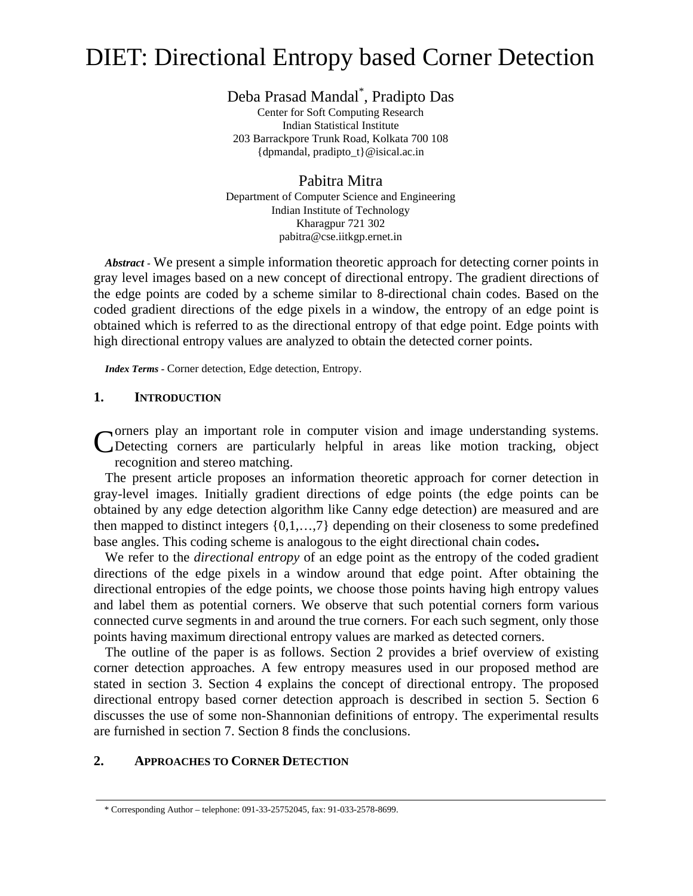# DIET: Directional Entropy based Corner Detection

Deba Prasad Mandal<sup>\*</sup>, Pradipto Das , Pradipto Das

Center for Soft Computing Research Indian Statistical Institute 203 Barrackpore Trunk Road, Kolkata 700 108 {dpmandal, pradipto\_t}@isical.ac.in

Pabitra Mitra Department of Computer Science and Engineering Indian Institute of Technology Kharagpur 721 302 pabitra@cse.iitkgp.ernet.in

*Abstract -* We present a simple information theoretic approach for detecting corner points in gray level images based on a new concept of directional entropy. The gradient directions of the edge points are coded by a scheme similar to 8-directional chain codes. Based on the coded gradient directions of the edge pixels in a window, the entropy of an edge point is obtained which is referred to as the directional entropy of that edge point. Edge points with high directional entropy values are analyzed to obtain the detected corner points.

*Index Terms -* Corner detection, Edge detection, Entropy.

# **1. INTRODUCTION**

orners play an important role in computer vision and image understanding systems. Corners play an important role in computer vision and image understanding systems.<br>
CDetecting corners are particularly helpful in areas like motion tracking, object recognition and stereo matching.

The present article proposes an information theoretic approach for corner detection in gray-level images. Initially gradient directions of edge points (the edge points can be obtained by any edge detection algorithm like Canny edge detection) are measured and are then mapped to distinct integers {0,1,…,7} depending on their closeness to some predefined base angles. This coding scheme is analogous to the eight directional chain codes**.** 

We refer to the *directional entropy* of an edge point as the entropy of the coded gradient directions of the edge pixels in a window around that edge point. After obtaining the directional entropies of the edge points, we choose those points having high entropy values and label them as potential corners. We observe that such potential corners form various connected curve segments in and around the true corners. For each such segment, only those points having maximum directional entropy values are marked as detected corners.

The outline of the paper is as follows. Section 2 provides a brief overview of existing corner detection approaches. A few entropy measures used in our proposed method are stated in section 3. Section 4 explains the concept of directional entropy. The proposed directional entropy based corner detection approach is described in section 5. Section 6 discusses the use of some non-Shannonian definitions of entropy. The experimental results are furnished in section 7. Section 8 finds the conclusions.

# **2. APPROACHES TO CORNER DETECTION**

<sup>\*</sup> Corresponding Author – telephone: 091-33-25752045, fax: 91-033-2578-8699.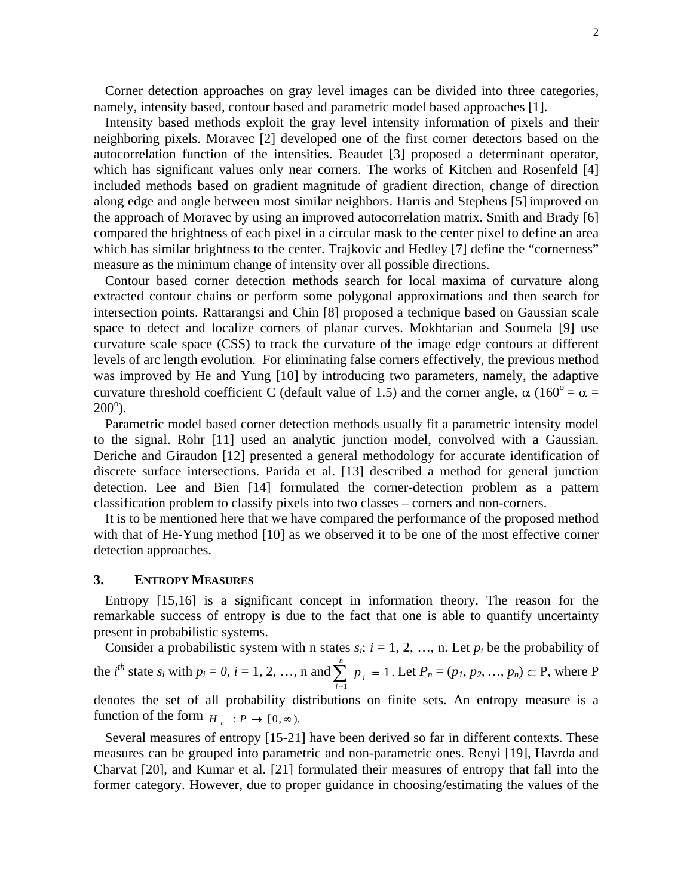Corner detection approaches on gray level images can be divided into three categories, namely, intensity based, contour based and parametric model based approaches [1].

Intensity based methods exploit the gray level intensity information of pixels and their neighboring pixels. Moravec [2] developed one of the first corner detectors based on the autocorrelation function of the intensities. Beaudet [3] proposed <sup>a</sup> determinant operator, which has significant values only near corners. The works of Kitchen and Rosenfeld [4] included methods based on gradient magnitude of gradient direction, change of direction along edge and angle between most similar neighbors. Harris and Stephens [5] improved on the approach of Moravec by using an improved autocorrelation matrix. Smith and Brady [6] compared the brightness of each pixel in a circular mask to the center pixel to define an area which has similar brightness to the center. Trajkovic and Hedley [7] define the "cornerness" measure as the minimum change of intensity over all possible directions.

Contour based corner detection methods search for local maxima of curvature along extracted contour chains or perform some polygonal approximations and then search for intersection points. Rattarangsi and Chin [8] proposed a technique based on Gaussian scale space to detect and localize corners of planar curves. Mokhtarian and Soumela [9] use curvature scale space (CSS) to track the curvature of the image edge contours at different levels of arc length evolution. For eliminating false corners effectively, the previous method was improved by He and Yung [10] by introducing two parameters, namely, the adaptive curvature threshold coefficient C (default value of 1.5) and the corner angle,  $\alpha$  (160<sup>o</sup> =  $\alpha$  =  $\alpha = \alpha$  $200^{\circ}$ ). ).

Parametric model based corner detection methods usually fit a parametric intensity model to the signal. Rohr [11] used an analytic junction model, convolved with a Gaussian. Deriche and Giraudon [12] presented a general methodology for accurate identification of discrete surface intersections. Parida et al. [13] described a method for general junction detection. Lee and Bien [14] formulated the corner-detection problem as a pattern classification problem to classify pixels into two classes – corners and non-corners.

It is to be mentioned here that we have compared the performance of the proposed method with that of He-Yung method [10] as we observed it to be one of the most effective corner detection approaches.

## **3. ENTROPY MEASURES**

Entropy [15,16] is a significant concept in information theory. The reason for the remarkable success of entropy is due to the fact that one is able to quantify uncertainty present in probabilistic systems.

Consider a probabilistic system with n states  $s_i$ ;  $i = 1, 2, ..., n$ . Let  $p_i$  be the probability of the *i*<sup>th</sup> state  $s_i$  with  $p_i = 0$ ,  $i = 1, 2, ..., n$  and  $\sum_{i=1}^{n} p_i = 1$ . Let  $P_n = (p_1, p_2, ..., p_n) \subset P$ , where P *i* = 1  $p_i = 1$ . Let  $P_n = (p_1, p_2, ..., p_n) \subset P$ , where P 1 denotes the set of all probability distributions on finite sets. An entropy measure is a function of the form  $H_n : P \to [0, \infty)$ .

Several measures of entropy [15-21] have been derived so far in different contexts. These measures can be grouped into parametric and non-parametric ones. Renyi [19], Havrda and Charvat [20], and Kumar et al. [21] formulated their measures of entropy that fall into the former category. However, due to proper guidance in choosing/estimating the values of the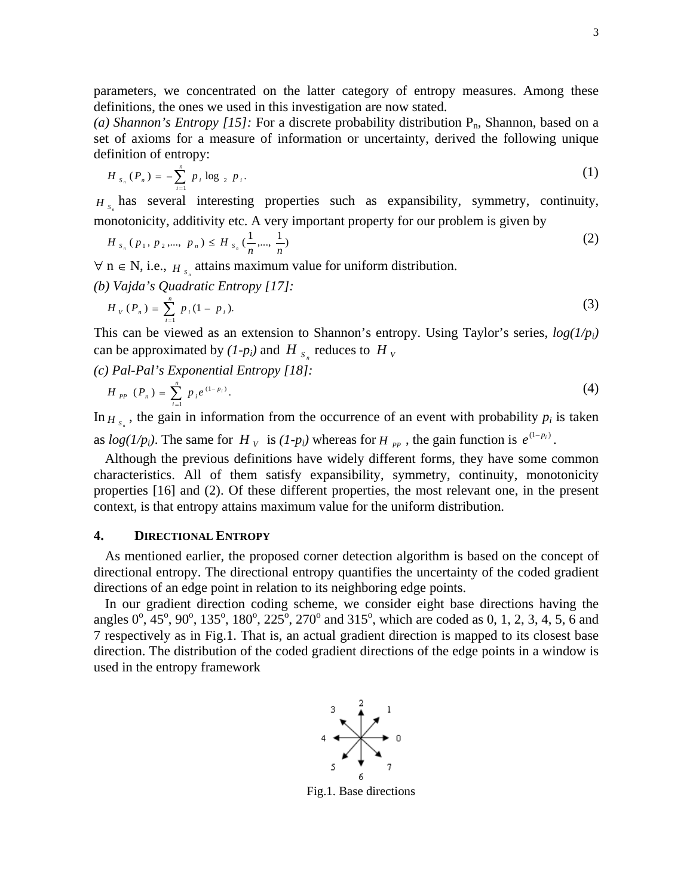parameters, we concentrated on the latter category of entropy measures. Among these definitions, the ones we used in this investigation are now stated.

(a) *Shannon's Entropy* [15]: For a discrete probability distribution P<sub>n</sub>, Shannon, based on a set of axioms for a measure of information or uncertainty, derived the following unique definition of entropy:

$$
H_{s_n}(P_n) = -\sum_{i=1}^n p_i \log_{2} p_i.
$$
 (1)

 $H_s$  has several interesting properties such as expansibility, symmetry, continuity, monotonicity, additivity etc. A very important property for our problem is given by

$$
H_{s_n}(p_1, p_2, \dots, p_n) \le H_{s_n}(\frac{1}{n}, \dots, \frac{1}{n})
$$
 (2)

 $\forall$  n  $\in$  N, i.e.,  $H_s$  attains maximum value for uniform distribution.

*(b) Vajda's Quadratic Entropy [17]:*

$$
H_{V}(P_{n}) = \sum_{i=1}^{n} p_{i} (1 - p_{i}). \tag{3}
$$

This can be viewed as an extension to Shannon's entropy. Using Taylor's series, *log(1/pi)* can be approximated by  $(I-p_i)$  and  $H_{S_i}$  reduces to  $H_V$ 

*(c) Pal-Pal's Exponential Entropy [18]:*

$$
H_{pp}(P_n) = \sum_{i=1}^n p_i e^{(1-p_i)}.
$$
 (4)

In  $H_{s_n}$ , the gain in information from the occurrence of an event with probability  $p_i$  is taken is taken as  $log(I/p_i)$ . The same for  $H_v$  is  $(I-p_i)$  whereas for  $H_{pp}$ , the gain function is  $e^{(1-p_i)}$ .

Although the previous definitions have widely different forms, they have some common characteristics. All of them satisfy expansibility, symmetry, continuity, monotonicity properties [16] and (2). Of these different properties, the most relevant one, in the present context, is that entropy attains maximum value for the uniform distribution.

## **4. DIRECTIONAL ENTROPY**

As mentioned earlier, the proposed corner detection algorithm is based on the concept of directional entropy. The directional entropy quantifies the uncertainty of the coded gradient directions of an edge point in relation to its neighboring edge points.

In our gradient direction coding scheme, we consider eight base directions having the angles  $0^{\circ}$ ,  $45^{\circ}$ ,  $90^{\circ}$ ,  $135^{\circ}$ ,  $180^{\circ}$ ,  $225^{\circ}$ ,  $270^{\circ}$  and  $315^{\circ}$ , which are coded as 0, 1, 2, 3, 4, 5, 6 and 7 respectively as in Fig.1. That is, an actual gradient direction is mapped to its closest base direction. The distribution of the coded gradient directions of the edge points in a window is used in the entropy framework



Fig.1. Base directions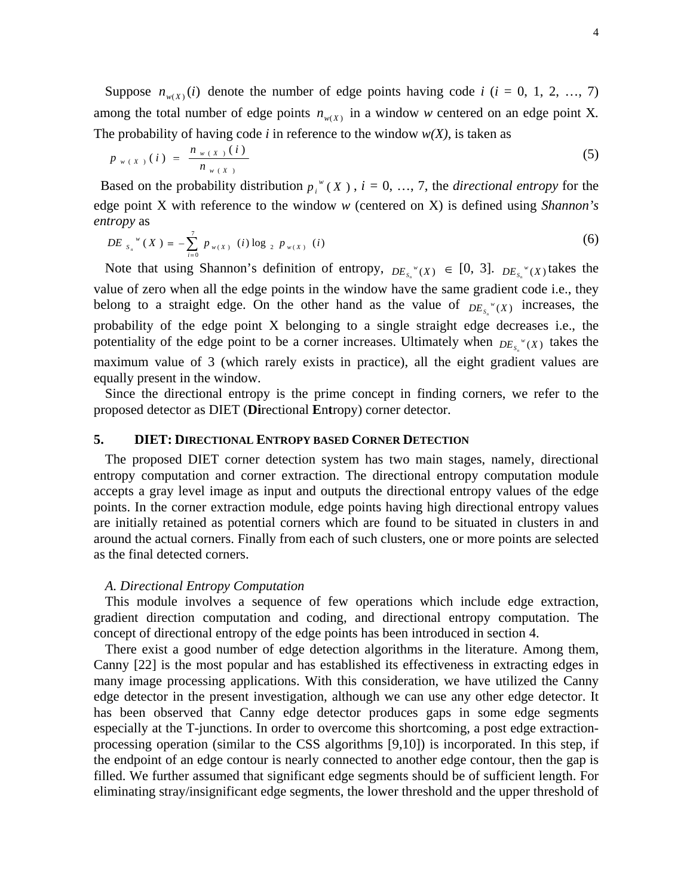Suppose  $n_{w(X)}(i)$  denote the number of edge points having code *i* (*i* = 0, 1, 2, …, 7) among the total number of edge points  $n_{w(X)}$  in a window w centered on an edge point X. The probability of having code  $i$  in reference to the window  $w(X)$ , is taken as

$$
p_{w(X)}(i) = \frac{n_{w(X)}(i)}{n_{w(X)}}
$$
 (5)

Based on the probability distribution  $p_i^*(X)$ ,  $i = 0, ..., 7$ , the *directional entropy* for the edge point X with reference to the window *w* (centered on X) is defined using *Shannon's*   $\mathcal{L}$  *entropy* as  $\frac{7}{7}$ 

$$
DE_{s_n}^{w}(X) = -\sum_{i=0}^{'} p_{w(X)}(i) \log_2 p_{w(X)}(i)
$$
 (6)

Note that using Shannon's definition of entropy,  $DE_{s_n} (X) \in [0, 3]$ .  $DE_{s_n} (X)$  takes the  $[0, 3]$ .  $DE_s$ <sup>*w*</sup>(*X*) takes the  $S_n$  ( $\Lambda$ )  $\ldots$ takes the value of zero when all the edge points in the window have the same gradient code i.e., they belong to a straight edge. On the other hand as the value of  $DE_{S_n} (X)$  increases, the  $S_n$  ( $\Lambda$ )  $\sim$   $\sim$   $\sim$   $\sim$   $\sim$   $\sim$   $\sim$ increases, the probability of the edge point X belonging to a single straight edge decreases i.e., the potentiality of the edge point to be a corner increases. Ultimately when  $DE_{s_n}^w(x)$  takes the  $S_n$  (A) takes the maximum value of 3 (which rarely exists in practice), all the eight gradient values are equally present in the window.

Since the directional entropy is the prime concept in finding corners, we refer to the proposed detector as DIET (**Di**rectional **E**n**t**ropy) corner detector.

## **5. DIET: DIRECTIONAL ENTROPY BASED CORNER DETECTION**

The proposed DIET corner detection system has two main stages, namely, directional entropy computation and corner extraction. The directional entropy computation module accepts a gray level image as input and outputs the directional entropy values of the edge points. In the corner extraction module, edge points having high directional entropy values are initially retained as potential corners which are found to be situated in clusters in and around the actual corners. Finally from each of such clusters, one or more points are selected as the final detected corners.

## *A. Directional Entropy Computation*

This module involves a sequence of few operations which include edge extraction, gradient direction computation and coding, and directional entropy computation. The concept of directional entropy of the edge points has been introduced in section 4. There exist <sup>a</sup> good number of edge detection algorithms in the literature. Among them,

Canny [22] is the most popular and has established its effectiveness in extracting edges in many image processing applications. With this consideration, we have utilized the Canny edge detector in the present investigation, although we can use any other edge detector. It has been observed that Canny edge detector produces gaps in some edge segments especially at the T-junctions. In order to overcome this shortcoming, a post edge extraction processing operation (similar to the CSS algorithms [9,10]) is incorporated. In this step, if the endpoint of an edge contour is nearly connected to another edge contour, then the gap is filled. We further assumed that significant edge segments should be of sufficient length. For eliminating stray/insignificant edge segments, the lower threshold and the upper threshold of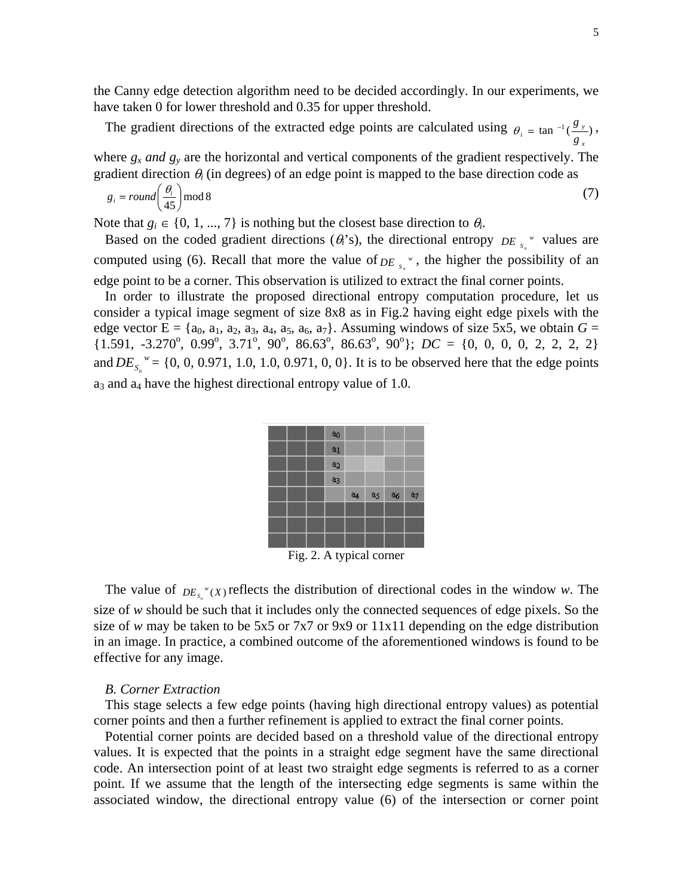the Canny edge detection algorithm need to be decided accordingly. In our experiments, we have taken 0 for lower threshold and 0.35 for upper threshold.

The gradient directions of the extracted edge points are calculated using  $\theta_i = \tan^{-1}(\frac{g_y}{g_x})$ ,<br>where *g<sub>x</sub> and g<sub>y</sub>* are the horizontal and vertical components of the gradient respectively. The *x y*  $\lambda$  $\frac{1}{g}$   $\frac{1}{g}$  $g_{\nu}$ 

gradient direction  $\theta_i$  (in degrees) of an edge point is mapped to the base direction code as

$$
g_i = round\left(\frac{\theta_i}{45}\right) \text{mod } 8 \tag{7}
$$

Note that  $g_i \in \{0, 1, ..., 7\}$  is nothing but the closest base direction to  $\theta_i$ . .

Based on the coded gradient directions ( $\theta_i$ 's), the directional entropy *DE*<sub>s</sub> values are  $DE_{s_n}$ <sup>*w*</sup> values are computed using (6). Recall that more the value of  $DE_{s_n}$ <sup>\*</sup>, the higher the possibility of an edge point to be a corner. This observation is utilized to extract the final corner points.

In order to illustrate the proposed directional entropy computation procedure, let us consider a typical image segment of size 8x8 as in Fig.2 having eight edge pixels with the edge vector  $E = \{a_0, a_1, a_2, a_3, a_4, a_5, a_6, a_7\}$ . Assuming windows of size 5x5, we obtain  $G =$  $\{1.591, -3.270^\circ, 0.99^\circ, 3.71^\circ, 90^\circ, 86.63^\circ, 86.63^\circ, 90^\circ\}; \, DC = \{0, 0, 0, 0, 2, 2, 2, 2\}$ and  $DE_{s_n}^{\,w} = \{0, 0, 0.971, 1.0, 1.0, 0.971, 0, 0\}$ . It is to be observed here that the edge points  $a_3$  and  $a_4$  have the highest directional entropy value of 1.0.

|  | a <sub>0</sub> |                |                |       |                |
|--|----------------|----------------|----------------|-------|----------------|
|  | a <sub>1</sub> |                |                |       |                |
|  | a <sub>2</sub> |                |                |       |                |
|  | a <sub>3</sub> |                |                |       |                |
|  |                |                |                |       |                |
|  |                | a <sub>4</sub> | a <sub>5</sub> | $a_6$ | a <sub>7</sub> |
|  |                |                |                |       |                |
|  |                |                |                |       |                |
|  |                |                |                |       |                |

Fig. 2. A typical corner

The value of  $DE_{s_n} (X)$  reflects the distribution of directional codes in the window *w*. The size of *w* should be such that it includes only the connected sequences of edge pixels. So the size of *w* may be taken to be 5x5 or 7x7 or 9x9 or 11x11 depending on the edge distribution in an image. In practice, a combined outcome of the aforementioned windows is found to be effective for any image.

## *B. Corner Extraction*

This stage selects a few edge points (having high directional entropy values) as potential corner points and then a further refinement is applied to extract the final corner points.

Potential corner points are decided based on a threshold value of the directional entropy values. It is expected that the points in a straight edge segment have the same directional code. An intersection point of at least two straight edge segments is referred to as a corner point. If we assume that the length of the intersecting edge segments is same within the associated window, the directional entropy value (6) of the intersection or corner point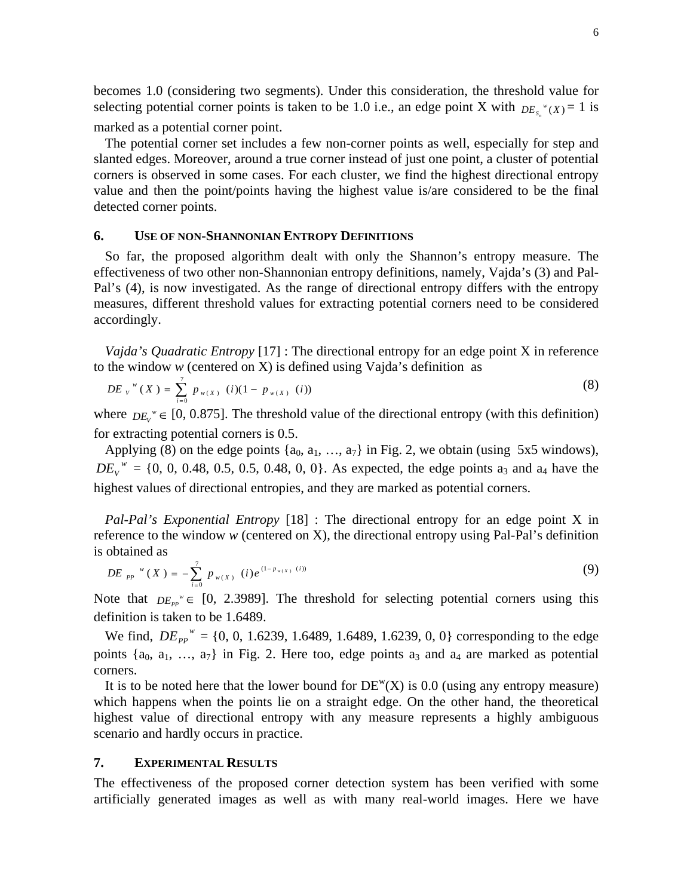becomes 1.0 (considering two segments). Under this consideration, the threshold value for selecting potential corner points is taken to be 1.0 i.e., an edge point X with  $DE<sub>x</sub>''(X) = 1$  is  $S_n^{\nu}(X) = 1$  is marked as a potential corner point.

The potential corner set includes a few non-corner points as well, especially for step and slanted edges. Moreover, around a true corner instead of just one point, a cluster of potential corners is observed in some cases. For each cluster, we find the highest directional entropy value and then the point/points having the highest value is/are considered to be the final detected corner points.

## **6. USE OF NON-SHANNONIAN ENTROPY DEFINITIONS**

So far, the proposed algorithm dealt with only the Shannon's entropy measure. The effectiveness of two other non-Shannonian entropy definitions, namely, Vajda's (3) and Pal- Pal's (4), is now investigated. As the range of directional entropy differs with the entropy measures, different threshold values for extracting potential corners need to be considered accordingly.

*Vajda's Quadratic Entropy* [17] : The directional entropy for an edge point X in reference to the window *w* (centered on X) is defined using Vajda's definition as

$$
DE_{V}^{w}(X) = \sum_{i=0}^{7} p_{w(X)} (i)(1 - p_{w(X)} (i))
$$
\n(8)

where  $DE_v^{\nu} \in [0, 0.875]$ . The threshold value of the directional entropy (with this definition) for extracting potential corners is 0.5.

Applying (8) on the edge points  $\{a_0, a_1, ..., a_7\}$  in Fig. 2, we obtain (using 5x5 windows),  $DE_v^{\mu\nu} = \{0, 0, 0.48, 0.5, 0.5, 0.48, 0, 0\}$ . As expected, the edge points a<sub>3</sub> and a<sub>4</sub> have the highest values of directional entropies, and they are marked as potential corners.

*Pal-Pal's Exponential Entropy* [18] : The directional entropy for an edge point X in reference to the window *w* (centered on X), the directional entropy using Pal-Pal's definition is obtained as

$$
DE_{PP}^{w}(X) = -\sum_{i=0}^{7} p_{w(X)}(i) e^{(1-p_{w(X)}(i))}
$$
\n(9)

Note that  $DE_{PP}^{\nu} \in [0, 2.3989]$ . The threshold for selecting potential corners using this definition is taken to be 1.6489.

We find,  $DE_{pp}^{\nu} = \{0, 0, 1.6239, 1.6489, 1.6489, 1.6239, 0, 0\}$  corresponding to the edge points  $\{a_0, a_1, \ldots, a_7\}$  in Fig. 2. Here too, edge points  $a_3$  and  $a_4$  are marked as potential corners.

It is to be noted here that the lower bound for  $DE^{w}(X)$  is 0.0 (using any entropy measure) which happens when the points lie on a straight edge. On the other hand, the theoretical highest value of directional entropy with any measure represents a highly ambiguous scenario and hardly occurs in practice.

## **7. EXPERIMENTAL RESULTS**

The effectiveness of the proposed corner detection system has been verified with some artificially generated images as well as with many real-world images. Here we have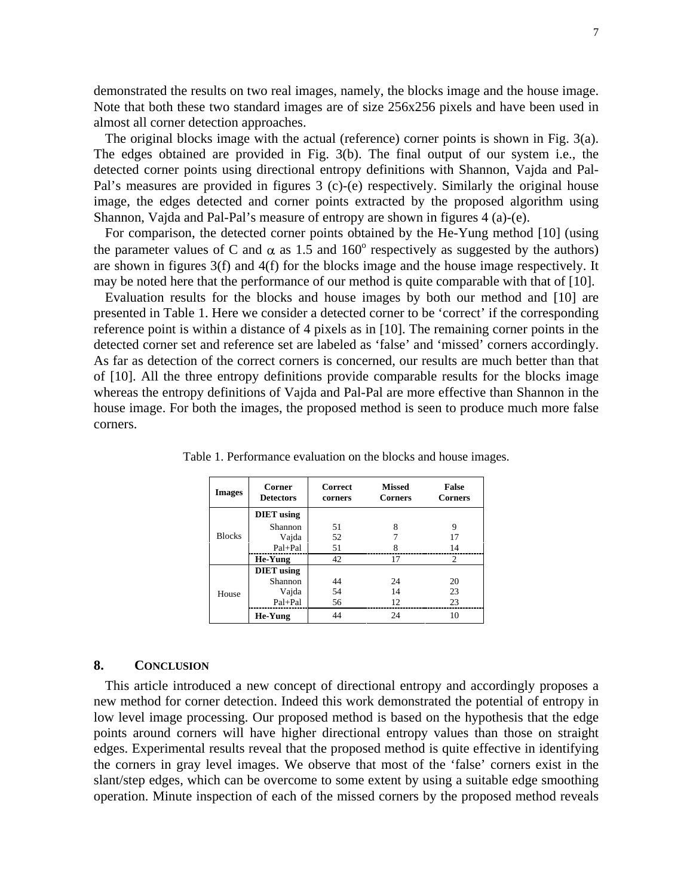demonstrated the results on two real images, namely, the blocks image and the house image. Note that both these two standard images are of size 256x256 pixels and have been used in almost all corner detection approaches.

The original blocks image with the actual (reference) corner points is shown in Fig. 3(a). The edges obtained are provided in Fig. 3(b). The final output of our system i.e., the detected corner points using directional entropy definitions with Shannon, Vajda and Pal- Pal's measures are provided in figures 3 (c)-(e) respectively. Similarly the original house image, the edges detected and corner points extracted by the proposed algorithm using Shannon, Vajda and Pal-Pal's measure of entropy are shown in figures 4 (a)-(e).

For comparison, the detected corner points obtained by the He-Yung method [10] (using the parameter values of C and  $\alpha$  as 1.5 and 160<sup>°</sup> respectively as suggested by the authors) are shown in figures 3(f) and 4(f) for the blocks image and the house image respectively. It may be noted here that the performance of our method is quite comparable with that of [10].

Evaluation results for the blocks and house images by both our method and [10] are presented in Table 1. Here we consider a detected corner to be 'correct' if the corresponding reference point is within a distance of 4 pixels as in [10]. The remaining corner points in the detected corner set and reference set are labeled as 'false' and 'missed' corners accordingly. As far as detection of the correct corners is concerned, our results are much better than that of [10]. All the three entropy definitions provide comparable results for the blocks image whereas the entropy definitions of Vajda and Pal-Pal are more effective than Shannon in the house image. For both the images, the proposed method is seen to produce much more false corners.

| <b>Images</b> | Corner<br><b>Detectors</b> | Correct<br>corners | <b>Missed</b><br>Corners | False<br>Corners |
|---------------|----------------------------|--------------------|--------------------------|------------------|
|               | <b>DIET</b> using          |                    |                          |                  |
|               | Shannon                    |                    |                          |                  |
| <b>Blocks</b> | Vajda                      | 50                 |                          |                  |
|               | Pal+Pal                    |                    |                          |                  |
|               | He-Yung                    |                    |                          |                  |
|               | <b>DIET</b> using          |                    |                          |                  |
|               | Shannon                    | 44                 | <u>ے</u>                 | 20               |
| House         | Vajda                      |                    | 1 <sub>A</sub>           | 23               |
|               | Pal+Pal                    |                    |                          | $\sim$           |
|               | He-Yung                    |                    |                          | 10               |

Table 1. Performance evaluation on the blocks and house images.

## **8. CONCLUSION**

This article introduced a new concept of directional entropy and accordingly proposes a new method for corner detection. Indeed this work demonstrated the potential of entropy in low level image processing. Our proposed method is based on the hypothesis that the edge points around corners will have higher directional entropy values than those on straight edges. Experimental results reveal that the proposed method is quite effective in identifying the corners in gray level images. We observe that most of the 'false' corners exist in the slant/step edges, which can be overcome to some extent by using a suitable edge smoothing operation. Minute inspection of each of the missed corners by the proposed method reveals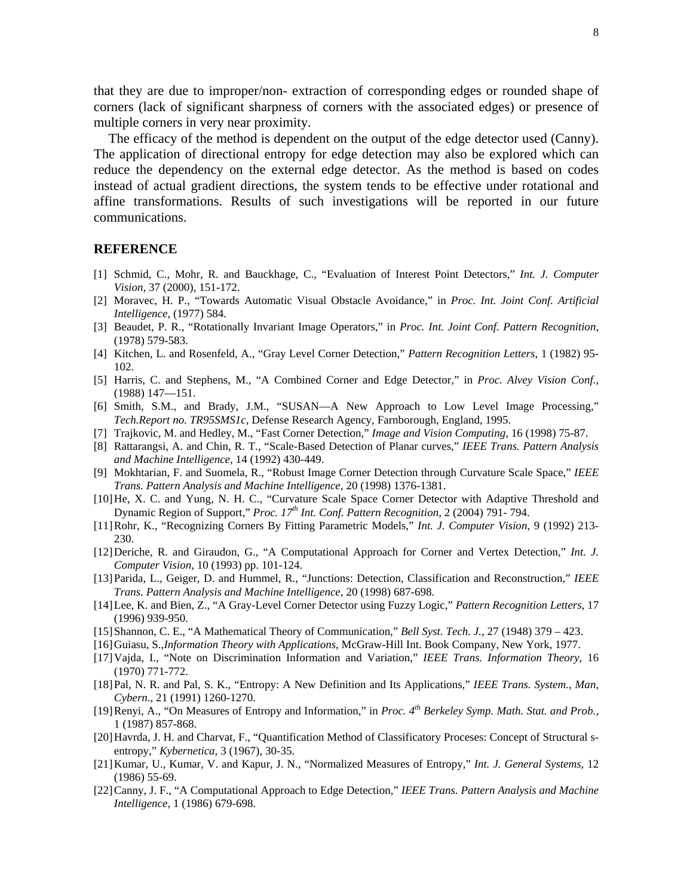that they are due to improper/non- extraction of corresponding edges or rounded shape of corners (lack of significant sharpness of corners with the associated edges) or presence of multiple corners in very near proximity.

The efficacy of the method is dependent on the output of the edge detector used (Canny). The application of directional entropy for edge detection may also be explored which can reduce the dependency on the external edge detector. As the method is based on codes instead of actual gradient directions, the system tends to be effective under rotational and affine transformations. Results of such investigations will be reported in our future communications.

## **REFERENCE**

- [1] Schmid, C., Mohr, R. and Bauckhage,C., "Evaluation of Interest Point Detectors," *Int. J. Computer Vision*, 37 (2000), 151-172.
- [2] Moravec, H. P., "Towards Automatic Visual Obstacle Avoidance," in *Proc. Int. Joint Conf. Artificial Intelligence*, (1977) 584.
- [3] Beaudet, P. R., "Rotationally Invariant Image Operators," in *Proc. Int. Joint Conf. Pattern Recognition*, (1978) 579-583.
- [4] Kitchen, L. and Rosenfeld, A., "Gray Level Corner Detection," *Pattern Recognition Letters*, 1 (1982) 95- 102.
- [5] Harris, C. and Stephens, M., "A Combined Corner and Edge Detector," in *Proc. Alvey Vision Conf.*, (1988) 147—151.
- [6] Smith, S.M., and Brady, J.M., "SUSAN—A New Approach to Low Level Image Processing," *Tech.Report no. TR95SMS1c*, Defense Research Agency, Farnborough, England, 1995.
- [7] Trajkovic, M. and Hedley, M., "Fast Corner Detection," *Image and Vision Computing*, 16 (1998) 75-87.
- [8] Rattarangsi, A. and Chin, R. T., "Scale-Based Detection of Planar curves," *IEEE Trans. Pattern Analysis and Machine Intelligence*, 14 (1992) 430-449.
- [9] Mokhtarian, F. and Suomela, R., "Robust Image Corner Detection through Curvature Scale Space," *IEEE Trans. Pattern Analysis and Machine Intelligence*, 20 (1998) 1376-1381.
- [10]He, X. C. and Yung, N. H. C., "Curvature Scale Space Corner Detector with Adaptive Threshold and Dynamic Region of Support," *Proc. 17th Int. Conf. Pattern Recognition*, 2 (2004) 791- 794.
- [11]Rohr, K., "Recognizing Corners By Fitting Parametric Models," *Int. J. ComputerVision*, 9 (1992) 213- 230.
- [12]Deriche, R. and Giraudon, G., "A Computational Approach for Corner and Vertex Detection," *Int. J. Computer Vision*, 10 (1993) pp. 101-124.
- [13]Parida, L., Geiger, D. and Hummel, R., "Junctions: Detection, Classification and Reconstruction," *IEEE Trans. Pattern Analysis and Machine Intelligence*, 20 (1998) 687-698.
- [14]Lee, K. and Bien, Z., "A Gray-Level Corner Detector using Fuzzy Logic," *Pattern Recognition Letters*, 17 (1996) 939-950.
- [15]Shannon, C. E., "A Mathematical Theory of Communication," *Bell Syst. Tech. J.*, 27 (1948) 379 423.
- [16]Guiasu, S.,*Information Theory with Applications*, McGraw-Hill Int. Book Company, New York, 1977.
- [17]Vajda, I., "Note on Discrimination Information and Variation," *IEEE Trans. Information Theory*, 16 (1970) 771-772.
- [18]Pal, N. R. and Pal, S. K., "Entropy: A New Definition and Its Applications*,*" *IEEE Trans. System., Man, Cybern*., 21 (1991) 1260-1270.
- [19]Renyi, A., "On Measures of Entropy and Information," in *Proc. 4 th Berkeley Symp. Math. Stat. and Prob.*, 1 (1987) 857-868.
- [20]Havrda, J. H. and Charvat, F., "Quantification Method of Classificatory Proceses: Concept of Structural s entropy," *Kybernetica*, 3 (1967), 30-35.
- [21]Kumar, U., Kumar, V. and Kapur, J. N., "Normalized Measures of Entropy," *Int. J. General Systems*, 12 (1986) 55-69.
- [22]Canny, J. F., "A Computational Approach to Edge Detection," *IEEE Trans. Pattern Analysis and Machine Intelligence*, 1 (1986) 679-698.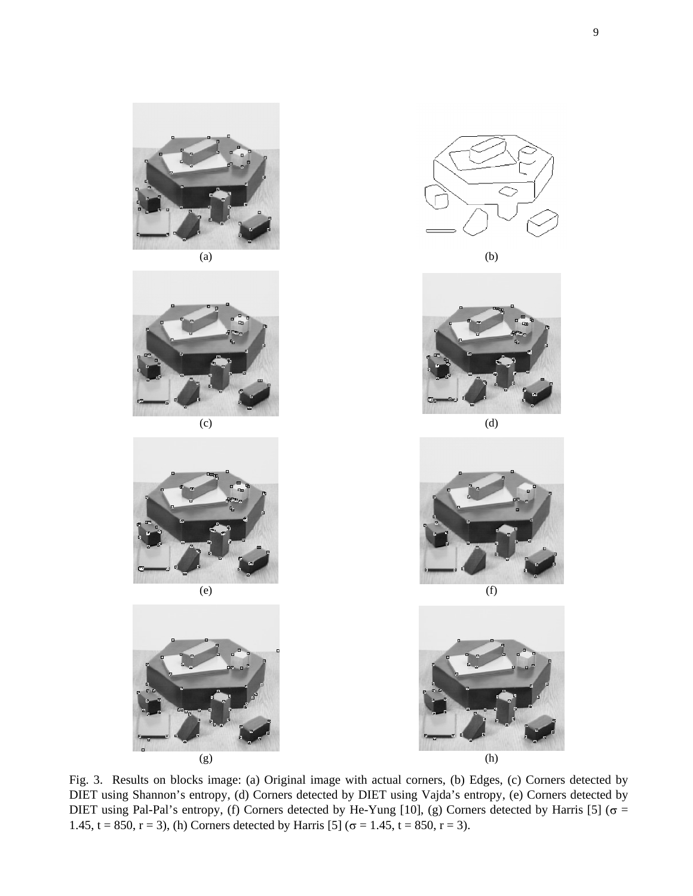









Fig. 3. Results on blocks image: (a) Original image with actual corners, (b) Edges, (c) Corners detected by DIET using Shannon's entropy, (d) Corners detected by DIET using Vajda's entropy,(e) Corners detected by DIET using Pal-Pal's entropy, (f) Corners detected by He-Yung [10], (g) Corners detected by Harris [5] ( $\sigma$  = 1.45, t = 850, r = 3), (h) Corners detected by Harris [5] ( $\sigma$  = 1.45, t = 850, r = 3).